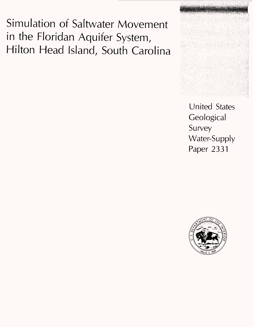Simulation of Saltwater Movement in the Floridan Aquifer System, Hilton Head Island, South Carolina



United States **Geological** Survey Water-Supply Paper 2331

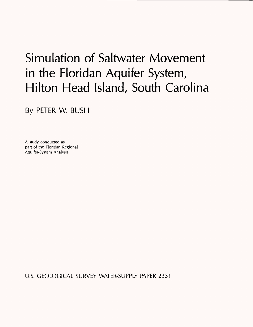# Simulation of Saltwater Movement in the Floridan Aquifer System, Hilton Head Island, South Carolina

By PETER W. BUSH

A study conducted as part of the Floridan Regional Aquifer-System Analysis

U.S. GEOLOGICAL SURVEY WATER-SUPPLY PAPER 2331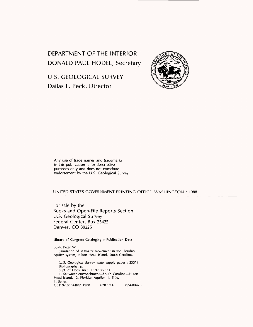DEPARTMENT OF THE INTERIOR DONALD PAUL MODEL, Secretary

U.S. GEOLOGICAL SURVEY Dallas L. Peck, Director



Any use of trade names and trademarks in this publication is for descriptive purposes only and does not constitute endorsement by the U.S. Geological Survey

#### UNITED STATES GOVERNMENT PRINTING OFFICE, WASHINGTON : 1988

For sale by the Books and Open-File Reports Section U.S. Geological Survey Federal Center, Box 25425 Denver, CO 80225

**Library of Congress Cataloging-in-Publication Data**

Bush, Peter W. Simulation of saltwater movement in the Floridan aquifer system, Hilton Head Island, South Carolina. (U.S. Geological Survey water-supply paper ; 2331) Bibliography: p. Supt. of Docs, no.: I 19.13:2331 1. Saltwater encroachment-South Carolina-Hilton Head Island. 2. Floridan Aquifer. I. Title. II. Series. GB1197.83.S6B87 1988 628.1'14 87-600475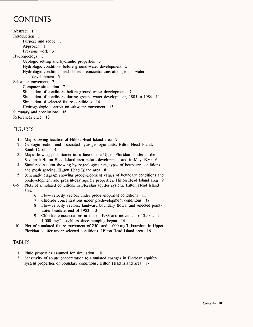## **CONTENTS**

Abstract 1 Introduction 1 Purpose and scope 1 Approach 1 Previous work 3 Hydrogeology 3 Geologic setting and hydraulic properties 3 Hydrologic conditions before ground-water development 5 Hydrologic conditions and chloride concentrations after ground-water development 5 Saltwater movement 7 Computer simulation 7 Simulation of conditions before ground-water development 7 Simulation of conditions during ground-water development, 1885 to 1984 11 Simulation of selected future conditions 14 Hydrogeologic controls on saltwater movement 15 Summary and conclusions 16 References cited 18

#### FIGURES

- 1. Map showing location of Hilton Head Island area 2
- 2. Geologic section and associated hydrogeologic units, Hilton Head Island, South Carolina 4
- 3. Maps showing potentiometric surface of the Upper Floridan aquifer in the Savannah-Hilton Head Island area before development and in May 1980 6
- 4. Simulated section showing hydrogeologic units, types of boundary conditions, and mesh spacing, Hilton Head Island area 8
- 5. Schematic diagram showing predevelopment values of boundary conditions and predevelopment and present-day aquifer properties, Hilton Head Island area 9
- 6-9. Plots of simulated conditions in Floridan aquifer system, Hilton Head Island area
	- 6. Flow-velocity vectors under predevelopment conditions 11
	- 7. Chloride concentrations under predevelopment conditions 12
	- 8. Flow-velocity vectors, landward boundary flows, and selected pointwater heads at end of 1983 13
	- 9. Chloride concentrations at end of 1983 and movement of 250- and 1,000-mg/L isochlors since pumping began 14
	- 10. Plot of simulated future movement of 250- and 1,000-mg/L isochlors in Upper Floridan aquifer under selected conditions, Hilton Head Island area 16

#### TABLES

- 1. Fluid properties assumed for simulation 10
- 2. Sensitivity of solute concentration to simulated changes in Floridan aquifersystem properties or boundary conditions, Hilton Head Island area 17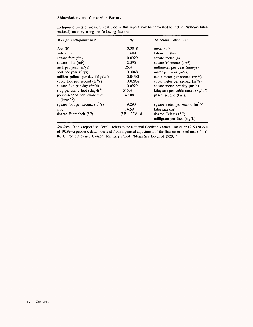#### **Abbreviations and Conversion Factors**

| Multiply inch-pound unit                           | By                     | To obtain metric unit              |
|----------------------------------------------------|------------------------|------------------------------------|
| foot $(ft)$                                        | 0.3048                 | meter $(m)$                        |
| mile (mi)                                          | 1.609                  | kilometer (km)                     |
| square foot $(ft^2)$                               | 0.0929                 | square meter $(m^2)$               |
| square mile $(mi^2)$                               | 2.590                  | square kilometer $(km^2)$          |
| inch per year (in/yr)                              | 25.4                   | millimeter per year (mm/yr)        |
| foot per year $(ft/yr)$                            | 0.3048                 | meter per year (m/yr)              |
| million gallons per day (Mgal/d)                   | 0.04381                | cubic meter per second $(m^3/s)$   |
| cubic foot per second $(ft^3/s)$                   | 0.02832                | cubic meter per second $(m^3/s)$   |
| square foot per day (ft <sup>2</sup> /d)           | 0.0929                 | square meter per day $(m^2/d)$     |
| slug per cubic foot (slug/ft <sup>3</sup> )        | 515.4                  | kilogram per cubic meter $(kg/m3)$ |
| pound-second per square foot<br>$(lb\cdot s/ft^2)$ | 47.88                  | pascal second $(Pa \cdot s)$       |
| square foot per second $({\rm ft}^2/s)$            | 9.290                  | square meter per second $(m^2/s)$  |
| slug                                               | 14.59                  | kilogram (kg)                      |
| degree Fahrenheit (°F)                             | $(^{\circ}F - 32)/1.8$ | degree Celsius $(^{\circ}C)$       |
|                                                    |                        | milligram per liter (mg/L)         |

Inch-pound units of measurement used in this report may be converted to metric (Systeme International) units by using the following factors:

*Sea level:* In this report "sea level" refers to the National Geodetic Vertical Datum of 1929 (NGVD of 1929)-a geodetic datum derived from a general adjustment of the first-order level nets of both the United States and Canada, formerly called "Mean Sea Level of 1929."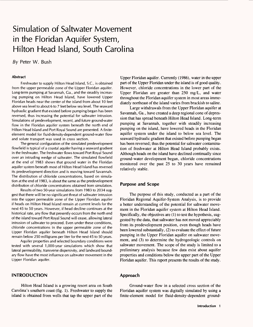### Simulation of Saltwater Movement in the Floridan Aquifer System, Hilton Head Island, South Carolina

By Peter W. Bush

#### **Abstract**

Freshwater to supply Hilton Head Island, S.C., is obtained from the upper permeable zone of the Upper Floridan aquifer. Long-term pumping at Savannah, Ga., and the steadily increasing pumping on Hilton Head Island, have lowered Upper Floridan heads near the center of the island from about 10 feet above sea level to about 6 to 7 feet below sea level. The seaward hydraulic gradient that existed before pumping began has been reversed, thus increasing the potential for saltwater intrusion. Simulations of predevelopment, recent, and future ground-water flow in the Floridan aquifer system beneath the north end of Hilton Head Island and Port Royal Sound are presented. A finiteelement model for fluid-density-dependent ground-water flow and solute transport was used in cross section.

The general configuration of the simulated predevelopment flowfield is typical of a coastal aquifer having a seaward gradient in the freshwater. The freshwater flows toward Port Royal Sound over an intruding wedge of saltwater. The simulated flowfield at the end of 1983 shows that ground water in the Floridan aquifer system beneath most of Hilton Head Island has reversed its predevelopment direction and is moving toward Savannah. The distribution of chloride concentrations, based on simulation at the end of 1983, is about the same as the predevelopment distribution of chloride concentrations obtained from simulation.

Results of two 50-year simulations from 1983 to 2034 suggest that there will be no significant threat of saltwater intrusion into the upper permeable zone of the Upper Floridan aquifer if heads on Hilton Head Island remain at current levels for the next 45 to 50 years. However, if head decline continues at the historical rate, any flow that presently occurs from the north end of the island toward Port Royal Sound will cease, allowing lateral intrusion of saltwater to proceed. Even under these conditions, chloride concentrations in the upper permeable zone of the Upper Floridan aquifer beneath Hilton Head Island should remain below 250 milligrams per liter for the next 45 to 50 years.

Aquifer properties and selected boundary conditions were tested with several 1,000-year simulations which show that lateral permeability, transverse dispersivity, and landward boundary flow have the most influence on saltwater movement in the Upper Floridan aquifer.

#### **INTRODUCTION**

Hilton Head Island is a growing resort area on South Carolina's southern coast (fig. 1). Freshwater to supply the island is obtained from wells that tap the upper part of the Upper Floridan aquifer. Currently (1986), water in the upper part of the Upper Floridan under the island is of good quality. However, chloride concentrations in the lower part of the Upper Floridan are greater than 250 mg/L, and water throughout the Floridan aquifer system in most areas immediately northeast of the island varies from brackish to saline.

Large withdrawals from the Upper Floridan aquifer at Savannah, Ga., have created a deep regional cone of depression that has spread beneath Hilton Head Island. Long-term pumping at Savannah, together with steadily increasing pumping on the island, have lowered heads in the Floridan aquifer system under the island to below sea level. The seaward hydraulic gradient that existed before pumping began has been reversed; thus the potential for saltwater contamination of freshwater at Hilton Head Island probably exists. Although heads on the island have declined continually since ground-water development began, chloride concentrations monitored over the past 25 to 30 years have remained relatively stable.

#### **Purpose and Scope**

The purpose of this study, conducted as a part of the Floridan Regional Aquifer-System Analysis, is to provide a better understanding of the potential for saltwater movement in the Floridan aquifer system at Hilton Head Island. Specifically, the objectives are (1) to test the hypothesis, suggested by the data, that saltwater has not moved appreciably from its predevelopment position, even though heads have been lowered substantially, (2) to evaluate the effect of future pumping in the Upper Floridan aquifer on saltwater movement, and (3) to determine the hydrogeologic controls on saltwater movement. The scope of the study is limited to a preliminary analysis because few data exist about aquifer properties and conditions below the upper part of the Upper Floridan aquifer. This report presents the results of the study.

#### **Approach**

Ground-water flow in a selected cross section of the Floridan aquifer system was digitally simulated by using a finite-element model for fluid-density-dependent ground-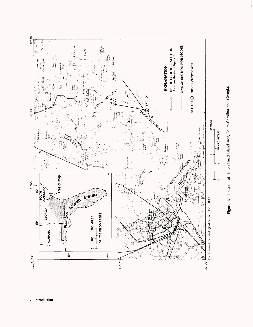

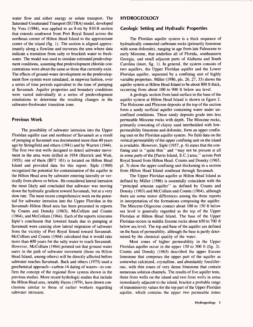water flow and either energy or solute transport. The Saturated-Unsaturated Transport (SUTRA) model, developed by Voss (1984), was applied to an 8-mi by 810-ft section that extends southwest from Port Royal Sound across the northeast corner of Hilton Head Island to the approximate center of the island (fig. 1). The section is aligned approximately along a flowline and traverses the area where data indicate a transition from salty or brackish water to freshwater. The model was used to simulate estimated predevelopment conditions, assuming that predevelopment chloride concentrations were about the same as those that currently exist. The effects of ground-water development on the predevelopment flow system were simulated, in stepwise fashion, over a series of time periods equivalent to the time of pumping at Savannah. Aquifer properties and boundary conditions were varied individually in a series of predevelopment simulations to determine the resulting changes in the saltwater-freshwater transition zone.

#### Previous Work

The possibility of saltwater intrusion into the Upper Floridan aquifer east and northeast of Savannah as a result of pumping at Savannah was documented more than 40 years ago by Stringfield and others (1941) and by Warren (1944). The first two test wells designed to detect saltwater movement in the area were drilled in 1954 (Herrick and Wait, 1955); one of them (BFT 101) is located on Hilton Head Island and provided data for this report. Siple (1960) recognized the potential for contamination of the aquifer in the Hilton Head area by saltwater entering laterally or vertically from above or below. He considered lateral intrusion the most likely and concluded that saltwater was moving down the hydraulic gradient toward Savannah, but at a very slow rate. The most recent comprehensive work on the potential for saltwater intrusion into the Upper Floridan in the Savannah-Hilton Head area has been presented in reports by Counts and Donsky (1963), McCollum and Counts (1964), and McCollum (1964). Each of the reports reiterates Siple's conclusion that lowered heads due to pumping at Savannah were causing slow lateral migration of saltwater from the vicinity of Port Royal Sound toward Savannah. McCollum and Counts (1964) calculated that it would take more than 400 years for the salty water to reach Savannah. However, McCollum (1964) pointed out that ground-water users in the path of saltwater movement (those on Hilton Head Island, among others) will be directly affected before saltwater reaches Savannah. Back and others (1970) used a geochemical approach—carbon-14 dating of waters -- to confirm the concept of the regional flow system shown in the previous studies. More recent hydrologic studies that include the Hilton Head area, notably Hayes (1979), have drawn conclusions similar to those of earlier workers regarding saltwater intrusion.

#### **HYDROGEOLOGY**

#### Geologic Setting and Hydraulic Properties

The Floridan aquifer system is a thick sequence of hydraulically connected carbonate rocks (primarily limestone with some dolomite), ranging in age from late Paleocene to early Miocene, that underlies all of Florida, southeastern Georgia, and small adjacent parts of Alabama and South Carolina (inset, fig. 1). In general, the system consists of two aquifers, the Upper Floridan aquifer and the Lower Floridan aquifer, separated by a confining unit of highly variable properties. Miller (1986, pis. 26, 27, 33) shows the aquifer system at Hilton Head Island to be about 800 ft thick, occurring from about 100 to 900 ft below sea level.

A geologic section from land surface to the base of the aquifer system at Hilton Head Island is shown in figure 2. The Holocene and Pliocene deposits at the top of the section form a sandy surficial aquifer containing water under unconfined conditions. These sandy deposits grade into less permeable Miocene rocks with depth. The Miocene rocks, primarily consisting of clayey sand interbedded with lowpermeability limestone and dolomite, form an upper confining unit on the Floridan aquifer system. No field data on the vertical permeability of the upper confining unit on the island is available. However, Siple (1957, p. 6) states that the confining unit is "quite thin" and "may not be present at all in some parts of the [Parris Island, S.C.] area," across Port Royal Sound from Hilton Head. Counts and Donsky (1963, pi. 3) show the upper confining unit thickening in a section from Hilton Head Island southeast through Savannah.

The Upper Floridan aquifer at Hilton Head Island as defined by Miller (1986) is essentially coincident with the "principal artesian aquifer" as defined by Counts and Donsky (1963) and McCollum and Counts (1964), although there are some minor differences among the three reports in interpretation of the formations composing the aquifer. The Miocene-Oligocene contact about 100 to 150 ft below sea level is generally regarded as the top of the Upper Floridan at Hilton Head Island. The base of the Upper Floridan occurs in middle Eocene rocks about 650 to 700 ft below sea level. The top and base of the aquifer are defined on the basis of permeability, although the base is partly determined by the chemical quality of the water.

Most zones of higher permeability in the Upper Floridan aquifer occur in the upper 150 to 300 ft (fig. 2). Counts and Donsky (1963) described the upper Eocene limestone that composes the upper part of the aquifer as somewhat calcitized, crystalline, and abundantly fossiliferous, with thin zones of very dense limestone that contain numerous solution channels. The results of five aquifer tests, three from wells on the island and two from wells in areas immediately adjacent to the island, bracket a probable range of transmissivity values for the top part of the Upper Floridan aquifer, which contains the upper two permeable zones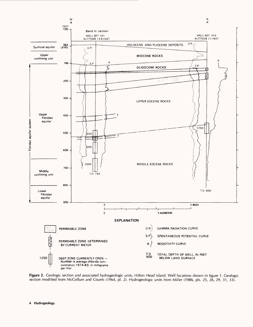

Figure 2. Geologic section and associated hydrogeologic units, Hilton Head Island. Well locations shown in figure 1. Geologic section modified from McCollum and Counts (1964, pi. 2). Hydrogeologic units from Miller (1986, pis. 25, 26, 29, 31, 33).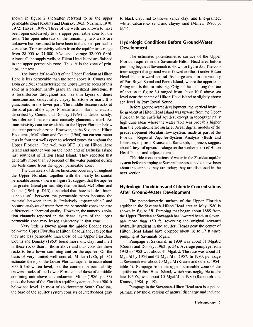shown in figure 2 (hereafter referred to as the upper permeable zone) (Counts and Donsky, 1963; Nuzman, 1970, 1972; Hayes, 1979). Three of the wells are known to have been open exclusively to the upper permeable zone for the tests. The open intervals of the remaining two wells are unknown but presumed to have been in the upper permeable zone also. Transmissivity values from the aquifer tests range from 28,000 to 71,000 ft<sup>2</sup>/d and average 52,000 ft<sup>2</sup>/d. Almost all the supply wells on Hilton Head Island are finished in the upper permeable zone. Thus, it is the zone of principal interest.

The lower 350 to 400 ft of the Upper Floridan at Hilton Head is less permeable than the zone above it. Counts and Donsky (1963) characterized the upper Eocene rocks of this zone as a predominantly granular, calcitized limestone. It is fossiliferous throughout and has thin layers of dense limestone and sandy, silty, clayey limestone or marl. It is glauconitic in the lower part. The middle Eocene rocks of the basal part of the Upper Floridan are similar in character, described by Counts and Donsky (1963) as dense, sandy, fossiliferous limestone and coarsely glauconitic marl. No transmissivity data are available for the Upper Floridan below its upper permeable zone. However, in the Savannah-Hilton Head area, McCollum and Counts (1964) ran current-meter tests in four test wells open to selected zones throughout the Upper Floridan. One well was BFT 101 on Hilton Head Island and another was on the north end of Dafuskie Island just southeast of Hilton Head Island. They reported that generally more than 70 percent of the water pumped during the tests came from the upper permeable zone.

The thin layers of dense limestone occurring throughout the Upper Floridan, together with the nearly horizontal permeable zones shown in figure 2, suggest that the aquifer has greater lateral permeability than vertical. McCollum and Counts (1964, p. D13) concluded that there is little "interconnection" between the permeable zones because the material between them is "relatively impermeable" and because analyses of water from the permeable zones indicate differences in chemical quality. However, the numerous solution channels reported in the dense layers of the upper permeable zone may lessen anisotropy in that zone.

Very little is known about the middle Eocene rocks below the Upper Floridan at Hilton Head Island, except that they are less permeable than those of the Upper Floridan. Counts and Donsky (1963) found more silt, clay, and marl in these rocks than in those above and thus consider these rocks to be a lower confining unit on the aquifer. On the basis of very limited well control, Miller (1986, pi. 31) estimates the top of the Lower Floridan aquifer to occur about 800 ft below sea level; but the contrast in permeability between rocks of the Lower Floridan and those of a middle confining unit above it is unknown. Miller (1986, pi. 33) picks the base of the Floridan aquifer system at about 900 ft below sea level. In most of southwestern South Carolina, the base of the aquifer system consists of interbedded gray

to black clay, red to brown sandy clay, and fine-grained, white, calcareous sand and clayey sand (Miller, 1986, p. B74).

#### **Hydrologic Conditions Before Ground-Water Development**

The estimated potentiometric surface of the Upper Floridan aquifer in the Savannah-Hilton Head area before pumping began at Savannah is shown in figure  $3A$ . The contours suggest that ground water flowed northeast under Hilton Head Island toward natural discharge areas in the vicinity of Port Royal Sound and Parris Island, where the upper confining unit is thin or missing. Original heads along the line of section in figure 3*A* ranged from about 10 ft above sea level near the center of Hilton Head Island to slightly above sea level in Port Royal Sound.

Before ground-water development, the vertical hydraulic gradient at Hilton Head Island was upward from the Upper Floridan to the surficial aquifer, except in topographically high dune areas where the water table was probably higher than the potentiometric surface. Areal digital models of the predevelopment Floridan flow system, made as part of the Floridan Regional Aquifer-System Analysis (Bush and Johnston, in press; Krause and Randolph, in press), suggest about 1 in/yr of upward leakage on the northern part of Hilton Head Island and adjacent areas.

Chloride concentrations of water in the Floridan aquifer system before pumping at Savannah are assumed to have been about the same as they are today; they are discussed in the next section.

#### **Hydrologic Conditions and Chloride Concentrations After Ground-Water Development**

The potentiometric surface of the Upper Floridan aquifer in the Savannah-Hilton Head area in May 1980 is shown in figure 3B. Pumping that began about 1885 from the Upper Floridan at Savannah has lowered heads at Savannah more than 150 ft, reversing the original seaward hydraulic gradient in the aquifer. Heads near the center of Hilton Head Island have dropped about 16 to 17 ft since pumping at Savannah began.

Pumpage at Savannah in 1939 was about 31 Mgal/d (Counts and Donsky, 1963, p. 54). Average pumpage from 1943 to 1953 was about 41 Mgal/d. The rate was about 51 Mgal/d by 1954 and 62 Mgal/d in 1957. In 1980, pumpage at Savannah was about 70 Mgal/d (Krause and others, 1984, table 4). Pumpage from the upper permeable zone of the aquifer on Hilton Head Island, which was negligible in the late 1950's, was about 10 Mgal/d in 1980 (Randolph and Krause, 1984, p. 19).

Pumpage in the Savannah-Hilton Head area is supplied primarily by the diversion of natural discharge and induced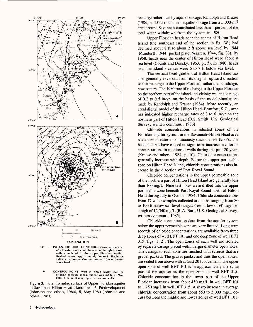

**which water level would have stood in tightly cased wells completed in the Upper Floridan aquifer. Dashed where approximately located. Hachures indicate depression. Contour interval 10 feet. Datum is sea level.**

 **CONTROL POINT Well in which water level or artesian pressure measurement was made in May 1980. One point may represent several wells.**

**Figure 3.** Potentiometric surface of Upper Floridan aquifer in Savannah-Hilton Head Island area. A, Predevelopment (Johnston and others, 1980),  $B$ , May 1980 (Johnston and others, 1981).

recharge rather than by aquifer storage. Randolph and Krause (1984, p. 15) estimate that aquifer storage from a 5,000-mi2 area around Savannah contributed less than 1 percent of the total water withdrawn from the system in 1980.

Upper Floridan heads near the center of Hilton Head Island (the southeast end of the section in fig.  $3B$ ) had declined about 8 ft to about 2 ft above sea level by 1944 (Mundorff, 1944, pocket plate; Warren, 1944, fig. 33). By 1958, heads near the center of Hilton Head were about at sea level (Counts and Donsky, 1963, pi. 5). In 1980, heads near the island's center were 6 to 7 ft below sea level.

The vertical head gradient at Hilton Head Island has also generally reversed from its original upward direction so that recharge to the Upper Floridan, rather than discharge, now occurs. The 1980 rate of recharge to the Upper Floridan on the northern part of the island and vicinity was in the range of 0.2 to 0.5 in/yr, on the basis of the model simulations made by Randolph and Krause (1984). More recently, an areal digital model of the Hilton Head-Beaufort, S.C., area has indicated higher recharge rates of 3 to 6 in/yr on the northern part of Hilton Head (B.S. Smith, U.S. Geological Survey, written commun., 1986).

Chloride concentrations in selected zones of the Floridan aquifer system in the Savannah-Hilton Head area have been monitored continuously since the late 1950's. The head declines have caused no significant increase in chloride concentrations in monitored wells during the past 20 years (Krause and others, 1984, p. 10). Chloride concentrations generally increase with depth. Below the upper permeable zone on Hilton Head Island, chloride concentrations also increase in the direction of Port Royal Sound.

Chloride concentrations in the upper permeable zone of the northern part of Hilton Head Island are generally less than 100 mg/L. Nine test holes were drilled into the upper permeable zone beneath Port Royal Sound north of Hilton Head during July to October 1984. Chloride concentrations from 17 water samples collected at depths ranging from 80 to 190 ft below sea level ranged from a low of 60 mg/L to a high of 12,340 mg/L (R.A. Burt, U.S. Geological Survey, written commun., 1985).

Chloride concentration data from the aquifer system below the upper permeable zone are very limited. Long-term records of chloride concentrations are available from three deep zones of well BFT 101 and one deep zone of well BFT 315 (figs. 1,2). The open zones of each well are isolated by separate casings placed within larger diameter open holes. The casings to each zone are finished with screens that are gravel packed. The gravel packs, and thus the open zones, are sealed from above with at least 20 ft of cement. The upper open zone of well BFT 101 is in approximately the same part of the aquifer as the open zone of well BFT 315. Chloride concentration in the lower part of the Upper Floridan increases from about 450 mg/L in well BFT 101 to 1,250 mg/L in well BFT 315. A sharp increase in average chloride concentration from about 550 to 2,000 mg/L occurs between the middle and lower zones of well BFT 101.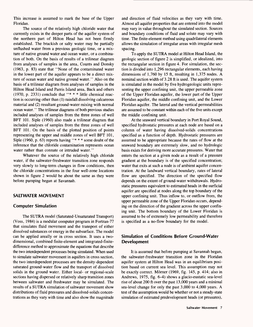This increase is assumed to mark the base of the Upper Floridan.

The source of the relatively high chloride water that currently exists in the deeper parts of the aquifer system of the northern part of Hilton Head has not been firmly established. The brackish or salty water may be partially unflushed water from a previous geologic time, or a mixture of native ground water and ocean water, or a combination of both. On the basis of results of a trilinear diagram from analyses of samples in the area, Counts and Donsky (1963, p. 83) state that "None of the contaminated water in the lower part of the aquifer appears to be a direct mixture of ocean water and native ground water." Also on the basis of a trilinear diagram from analyses of samples in the Hilton Head Island and Parris Island area, Back and others (1970, p. 2331) conclude that "\* \* \* little chemical reaction is occurring other than (1) rainfall dissolving calcareous material and (2) resultant ground-water mixing with normal ocean water." The trilinear diagrams of both previous studies included analyses of samples from the three zones of well BFT 101. Siple (1960) also made a trilinear diagram that included analyses of samples from the three zones of well BFT 101. On the basis of the plotted position of points representing the upper and middle zones of well BFT 101, Siple (1960, p. 63) reports having "\*\*\*\* some doubt of the inference that the chloride contamination represents ocean water rather than connate or intruded water."

Whatever the source of the relatively high chloride water, if the saltwater-freshwater transition zone responds very slowly to long-term changes in flow conditions, then the chloride concentrations in the four well-zone locations shown in figure 2 would be about the same as they were before pumping began at Savannah.

#### **SALTWATER MOVEMENT**

#### **Computer Simulation**

The SUTRA model (Saturated-Unsaturated Transport) (Voss, 1984) is a modular computer program in Fortran-77 that simulates fluid movement and the transport of either dissolved substances or energy in the subsurface. The model can be applied areally or in cross section. It uses a twodimensional, combined finite-element and integrated-fmitedifference method to approximate the equations that describe the two interdependent processes being simulated. When used to simulate saltwater movement in aquifers in cross section, the two interdependent processes are the density-dependent saturated ground-water flow and the transport of dissolved solids in the ground water. Either local- or regional-scale sections having dispersed or relatively sharp transition zones between saltwater and freshwater may be simulated. The results of a SUTRA simulation of saltwater movement show distributions of fluid pressures and dissolved-solids concentrations as they vary with time and also show the magnitude and direction of fluid velocities as they vary with time. Almost all aquifer properties that are entered into the model may vary in value throughout the simulated section. Sources and boundary conditions of fluid and solute may vary with time. The finite-element method using quadrilateral elements allows the simulation of irregular areas with irregular mesh spacing.

To apply the SUTRA model at Hilton Head Island, the geologic section of figure 2 is simplified, or idealized, into the rectangular section in figure 4. For simulation, the section is divided into 1,296 rectangular elements, each having dimensions of 1,760 by 15 ft, resulting in 1,375 nodes. A nominal section width of 3.28 ft is used. The aquifer system is simulated in the model by five hydrogeologic units representing the upper confining unit, the upper permeable zone of the Upper Floridan aquifer, the lower part of the Upper Floridan aquifer, the middle confining unit, and the Lower Floridan aquifer. The lateral and the vertical permeabilities are assumed to be constant within each of the five units except the middle confining unit.

At the seaward vertical boundary in Port Royal Sound, specified hydrostatic pressures at each node are based on a column of water having dissolved-solids concentrations specified as a function of depth. Hydrostatic pressures are assumed to be appropriate because the rates of flow at the seaward boundary are extremely slow, and no hydrologic basis exists for deriving more accurate pressures. Water that enters the section at a given node as a result of a pressure gradient at the boundary is of the specified concentration; water that exits at such a node is of ambient aquifer concentration. At the landward vertical boundary, rates of lateral flow are specified. The direction of the specified flow depends on the extent of ground-water withdrawals. Hydrostatic pressures equivalent to estimated heads in the surficial aquifer are specified at nodes along the top boundary of the upper confining unit. Thus inflow to, or outflow from, the upper permeable zone of the Upper Floridan occurs, depending on the direction of the gradient across the upper confining unit. The bottom boundary of the Lower Floridan is assumed to be of extremely low permeability and therefore is specified as a no-flow boundary for the model.

#### **Simulation of Conditions Before Ground-Water Development**

It is assumed that before pumping at Savannah began, the saltwater-freshwater transition zone in the Floridan aquifer system at Hilton Head was in an equilibrium position based on current sea level. This assumption may not be exactly correct. Mörner (1969, fig. 145, p. 414; also in Andrews, 1975, fig. 6-4) shows a glacio-eustatic sea-level rise of about 200 ft over the past 13,000 years and a minimal sea-level change for only the past 3,000 to 4,000 years. A test of the assumption would be whether or not a steady-state simulation of estimated predevelopment heads (or pressures),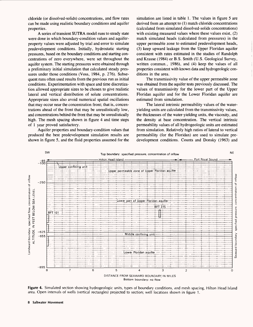chloride (or dissolved-solids) concentrations, and flow rates can be made using realistic boundary conditions and aquifer properties.

A series of transient SUTRA model runs to steady state were done in which boundary-condition values and aquiferproperty values were adjusted by trial and error to simulate predevelopment conditions. Initially, hydrostatic starting pressures, based on the boundary conditions and starting concentrations of zero everywhere, were set throughout the aquifer system. The starting pressures were obtained through a preliminary initial simulation that calculated steady pressures under those conditions (Voss, 1984, p. 276). Subsequent runs often used results from the previous run as initial conditions. Experimentation with space and time discretization allowed appropriate sizes to be chosen to give realistic lateral and vertical distribution of solute concentrations. Appropriate sizes also avoid numerical spatial oscillations that may occur near the concentration front; that is, concentrations ahead of the front that may be unrealistically low, and concentrations behind the front that may be unrealistically high. The mesh spacing shown in figure 4 and time steps of 1 year proved satisfactory.

Aquifer properties and boundary-condition values that produced the best predevelopment simulation results are shown in figure 5, and the fluid properties assumed for the simulation are listed in table 1. The values in figure 5 are derived from an attempt to (1) match chloride concentrations (calculated from simulated dissolved-solids concentrations) with existing measured values where these values exist, (2) match simulated heads (calculated from pressures) in the upper permeable zone to estimated predevelopment heads, (3) keep upward leakage from the Upper Floridan aquifer consistent with rates estimated in the studies of Randolph and Krause (1984) or B.S. Smith (U.S. Geological Survey, written commun., 1986), and (4) keep the values of all properties consistent with known data and hydrogeologic conditions in the area.

The transmissivity value of the upper permeable zone was obtained from the aquifer tests previously discussed. The values of transmissivity for the lower part of the Upper Floridan aquifer and for the Lower Floridan aquifer are estimated from simulation.

The lateral intrinsic permeability values of the wateryielding units are calculated from the transmissivity values, the thicknesses of the water-yielding units, the viscosity, and the density at base concentration. The vertical intrinsic permeability values of all hydrogeologic units are estimated from simulation. Relatively high ratios of lateral to vertical permeability (for the Floridan) are used to simulate predevelopment conditions. Counts and Donsky (1963) and



**Figure 4.** Simulated section showing hydrogeologic units, types of boundary conditions, and mesh spacing, Hilton Head Island area. Open intervals of wells (vertical rectangles) projected to section; well locations shown in figure 1.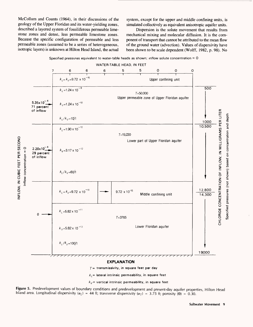McCollum and Counts (1964), in their discussions of the geology of the Upper Floridan and its water-yielding zones, described a layered system of fossiliferous permeable limestone zones and dense, less permeable limestone zones. Because the specific configuration of permeable and less permeable zones (assumed to be a series of heterogeneous, isotropic layers) is unknown at Hilton Head Island, the actual system, except for the upper and middle confining units, is simulated collectively as equivalent anisotropic aquifer units.

Dispersion is the solute movement that results from mechanical mixing and molecular diffusion. It is the component of transport that cannot be attributed to the mean flow of the ground water (advection). Values of dispersivity have been shown to be scale dependent (Wolff, 1982, p. 98). No



Specified pressures equivalent to water-table heads as shown; inflow solute concentration =  $\mathtt C$ 

 $k_v$  = vertical intrinsic permeability, in square feet

**Figure 5.** Predevelopment values of boundary conditions and predevelopment and present-day aquifer properties, Hilton Head Island area. Longitudinal dispersivity ( $\alpha_L$ ) = 44 ft; transverse dispersivity ( $\alpha_T$ ) = 3.75 ft; porosity ( $\Theta$ ) = 0.30.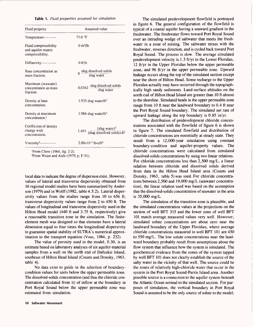|  |  |  | Table 1. Fluid properties assumed for simulation |  |  |  |  |
|--|--|--|--------------------------------------------------|--|--|--|--|
|--|--|--|--------------------------------------------------|--|--|--|--|

| Fluid property                                                  | Assumed value                                                                          |  |  |
|-----------------------------------------------------------------|----------------------------------------------------------------------------------------|--|--|
| Temperature----------                                           | $71.6\text{°F}$                                                                        |  |  |
| Fluid compressibility<br>and aquifer-matrix<br>compressibility. | $0$ in <sup>2</sup> /lb                                                                |  |  |
| Diffusivity------------                                         | $0 ft^2/s$                                                                             |  |  |
| Base concentration as<br>mass fraction.                         | $0 \frac{\text{slug dissolved solids}}{\text{slug water}}$                             |  |  |
| Maximum (seawater)<br>concentration as mass<br>fraction.        | $0.0342$ slug dissolved solids slug water                                              |  |  |
| Density at base<br>concentration.                               | 1.935 slug water/ft <sup>3</sup>                                                       |  |  |
| Density at maximum<br>concentration. <sup>1</sup>               | 1.986 slug water/ $ft^3$                                                               |  |  |
| Coefficient of density<br>change with<br>concentration.         | 1.491 $\frac{(\text{slug water})^2}{(\text{slug dissolved solids}) \cdot \text{ft}^3}$ |  |  |
| Viscosity <sup>2</sup> -------------                            | $2.00\times10^{-5}$ lb•s/ft <sup>2</sup>                                               |  |  |

'From Chow (1964, fig. 2-2). 2From Weast and Astlc (1979, p. F-51).

local data to indicate the degree of dispersion exist. However, values of lateral and transverse dispersivity obtained from 16 regional model studies have been summarized by Anderson (1979) and in Wolff (1982, table 4.5.2). Lateral dispersivity values from the studies range from 10 to 656 ft; transverse dispersivity values range from 2 to 450 ft. The values of longitudinal and transverse dispersivity used in the Hilton Head model (440 ft and 3.75 ft, respectively) give a reasonable transition zone in the simulation. The finiteelement mesh was designed so that elements have a lateral dimension equal to four times the longitudinal dispersivity to guarantee spatial stability of SUTRA's numerical approximation to the transport equation (Voss, 1984, p. 232).

The value of porosity used in the model, 0.30, is an estimate based on laboratory analyses of six aquifer-material samples from a well on the north end of Dafuskie Island, southeast of Hilton Head Island (Counts and Donsky, 1963, table 4).

No data exist to guide in the selection of boundarycondition values for units below the upper permeable zone. The dissolved-solids concentration (and thus the chloride concentration calculated from it) of inflow at the boundary in Port Royal Sound below the upper permeable zone was estimated from simulation.

The simulated predevelopment flowfield is portrayed in figure 6. The general configuration of the flowfield is typical of a coastal aquifer having a seaward gradient in the freshwater. The freshwater flows toward Port Royal Sound over an intruding wedge of saltwater that meets the freshwater in a zone of mixing. The saltwater mixes with the freshwater, reverses direction, and is cycled back toward Port Royal Sound. The process is slow. The average simulated predevelopment velocity is 1.3 ft/yr in the Lower Floridan, 12 ft/yr in the Upper Floridan below the upper permeable zone, and 96 ft/yr in the upper permeable zone. Upward leakage occurs along the top of the simulated section except near the shore of Hilton Head. Some recharge to the Upper Floridan actually may have occurred through the topographically high sandy sediments. Land-surface altitudes on the north end of Hilton Head Island are greater than 10 ft almost to the shoreline. Simulated heads in the upper permeable zone range from 10 ft near the landward boundary to 0.4 ft near the Port Royal Sound boundary. The simulated net rate of upward leakage along the top boundary is 0.85 in/yr.

The distribution of predevelopment chloride concentrations associated with the flowfield of figure 6 is shown in figure 7. The simulated flowfield and distribution of chloride concentrations are essentially at steady state. They result from a 12,000-year simulation using constant boundary-condition and aquifer-property values. The chloride concentrations were calculated from simulated dissolved-solids concentrations by using two linear relations. For chloride concentrations less than 2,500 mg/L, a linear relation between chloride and dissolved solids derived from data in the Hilton Head Island area (Counts and Donsky, 1963, table 5) was used. For chloride concentrations between 2,500 and 19,000 mg/L (seawater concentration), the linear relation used was based on the assumption that the dissolved-solids concentration of seawater in the area is 35,000 mg/L.

The simulation of the transition zone is plausible, and the simulated concentration values at the projections on the section of well BFT 315 and the lower zone of well BFT 101 match average measured values very well. However, simulated solute concentrations are about zero near the landward boundary of the Upper Floridan, where average chloride concentrations measured in well BFT 101 are 450 to 550 mg/L. The low solute concentrations near the landward boundary probably result from assumptions about the flow system that influence how the system is simulated. The geochemical evidence from the zones of the system tapped by well BFT 101 does not clearly establish the source of the salty water in the vicinity of that well. The source could be the zones of relatively high-chloride water that occur in the system in the Port Royal Sound-Parris Island area. Another possible source is a connection to the aquifer system beneath the Atlantic Ocean normal to the simulated section. For purposes of simulation, the vertical boundary in Port Royal Sound is assumed to be the only source of solute to the model;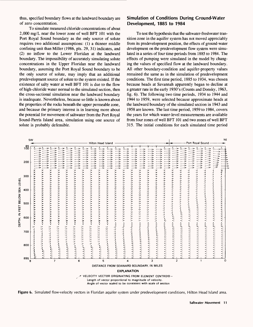thus, specified boundary flows at the landward boundary are of zero concentration.

To simulate measured chloride concentrations of about 2,000 mg/L near the lower zone of well BFT 101 with the Port Royal Sound boundary as the only source of solute requires two additional assumptions: (1) a thinner middle confining unit than Miller (1986, pis. 29, 31) indicates, and (2) no inflow to the Lower Floridan at the landward boundary. The impossibility of accurately simulating solute concentrations in the Upper Floridan near the landward boundary, assuming the Port Royal Sound boundary to be the only source of solute, may imply that an additional predevelopment source of solute to the system existed. If the existence of salty water at well BFT 101 is due to the flow of high-chloride water normal to the simulated section, then the cross-sectional simulation near the landward boundary is inadequate. Nevertheless, because so little is known about the properties of the rocks beneath the upper permeable zone, and because the primary interest is in learning more about the potential for movement of saltwater from the Port Royal Sound-Parris Island area, simulation using one source of solute is probably defensible.

#### **Simulation of Conditions During Ground-Water Development, 1885 to 1984**

To test the hypothesis that the saltwater-freshwater transition zone in the aquifer system has not moved appreciably from its predevelopment position, the effects of ground-water development on the predevelopment flow system were simulated in a series of four time periods from 1885 to 1984. The effects of pumping were simulated in the model by changing the values of specified flow at the landward boundary. All other boundary-condition and aquifer-property values remained the same as in the simulation of predevelopment conditions. The first time period, 1885 to 1934, was chosen because heads at Savannah apparently began to decline at a greater rate in the early 1930's (Counts and Donsky, 1963, fig. 6). The following two time periods, 1934 to 1944 and 1944 to 1959, were selected because approximate heads at the landward boundary of the simulated section in 1943 and 1958 are known. The last time period, 1959 to 1984, covers the years for which water-level measurements are available from four zones of well BFT 101 and two zones of well BFT 315. The initial conditions for each simulated time period



**Figure 6.** Simulated flow-velocity vectors in Floridan aquifer system under predevelopment conditions, Hilton Head Island area.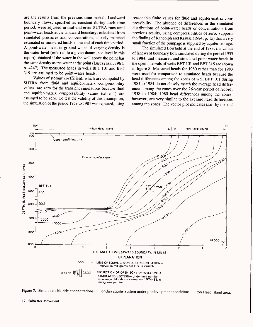are the results from the previous time period. Landward boundary flows, specified as constant during each time period, were adjusted in trial-and-error SUTRA runs until point-water heads at the landward boundary, calculated from simulated pressures and concentrations, closely matched estimated or measured heads at the end of each time period. A point-water head in ground water of varying density is the water level (referred to a given datum, sea level in this report) obtained if the water in the well above the point has the same density as the water at the point (Lusczynski, 1961, p. 4247). The measured heads in wells BFT 101 and BFT 315 are assumed to be point-water heads.

Values of storage coefficient, which are computed by SUTRA from fluid and aquifer-matrix compressibility values, are zero for the transient simulations because fluid and aquifer-matrix compressibility values (table 1) are assumed to be zero. To test the validity of this assumption, the simulation of the period 1959 to 1984 was repeated, using

reasonable finite values for fluid and aquifer-matrix compressibility. The absence of differences in the simulated distributions of point-water heads or concentrations from previous results, using compressibilities of zero, supports the finding of Randolph and Krause (1984, p. 15) that a very small fraction of the pumpage is supplied by aquifer storage.

The simulated flowfield at the end of 1983, the values of landward boundary flow simulated during the period 1959 to 1984, and measured and simulated point-water heads in the open intervals of wells BFT 101 and BFT 315 are shown in figure 8. Measured heads for 1980 rather than for 1983 were used for comparison to simulated heads because the head differences among the zones of well BFT 101 during 1981 to 1984 do not closely match the average head differences among the zones over the 26-year period of record, 1958 to 1984; 1980 head differences among the zones, however, are very similar to the average head differences among the zones. The vector plot indicates that, by the end



**Figure** 7. Simulated chloride concentrations in Floridan aquifer system under predevelpment conditions, Hilton Head Island area.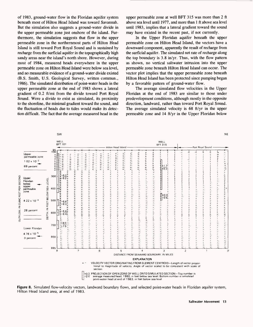of 1983, ground-water flow in the Floridan aquifer system beneath most of Hilton Head Island was toward Savannah. But the simulation also suggests a ground-water divide in the upper permeable zone just onshore of the island. Furthermore, the simulation suggests that flow in the upper permeable zone in the northernmost parts of Hilton Head Island is still toward Port Royal Sound and is sustained by recharge from the surficial aquifer in the topographically high sandy areas near the island's north shore. However, during most of 1984, measured heads everywhere in the upper permeable zone on Hilton Head Island were below sea level, and no measurable evidence of a ground-water divide existed (B.S. Smith, U.S. Geological Survey, written commun., 1986). The simulated distribution of point-water heads in the upper permeable zone at the end of 1983 shows a lateral gradient of 0.2 ft/mi from the divide toward Port Royal Sound. Were a divide to exist as simulated, its proximity to the shoreline, the minimal gradient toward the sound, and the fluctuation of heads due to tides would make its detection difficult. The fact that the average measured head in the

upper permeable zone at well BFT 315 was more than 2 ft above sea level until 1977, and more than 1 ft above sea level until 1983, implies that a lateral gradient toward the sound may have existed in the recent past, if not currently.

In the Upper Floridan aquifer beneath the upper permeable zone on Hilton Head Island, the vectors have a downward component, apparently the result of recharge from the surficial aquifer. The simulated net rate of recharge along the top boundary is 3.8 in/yr. Thus, with the flow pattern as shown, no vertical saltwater intrusion into the upper permeable zone beneath Hilton Head Island can occur. The vector plot implies that the upper permeable zone beneath Hilton Head Island has been protected since pumping began by a favorable pattern of ground-water flow.

The average simulated flow velocities in the Upper Floridan at the end of 1983 are similar to those under predevelopment conditions, although mostly in the opposite direction, landward, rather than toward Port Royal Sound. The average simulated velocity is 68 ft/yr in the upper permeable zone and 14 ft/yr in the Upper Floridan below



**Figure 8.** Simulated flow-velocity vectors, landward boundary flows, and selected point-water heads in Floridan aquifer system, Hilton Head Island area, at end of 1983.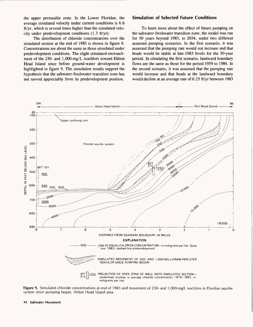the upper permeable zone. In the Lower Floridan, the average simulated velocity under current conditions is 6.6 ft/yr, which is several times higher than the simulated velocity under predevelopment conditions (1.3 ft/yr).

The distribution of chloride concentrations over the simulated section at the end of 1983 is shown in figure 9. Concentrations are about the same as those simulated under predevelopment conditions. The slight simulated encroachment of the 250- and 1,000-mg/L isochlors toward Hilton Head Island since before ground-water development is highlighted in figure 9. The simulation results support the hypothesis that the saltwater-freshwater transition zone has not moved appreciably from its predevelopment position.

#### **Simulation of Selected Future Conditions**

To learn more about the effect of future pumping on the saltwater-freshwater transition zone, the model was run for 50 years beyond 1983, to 2034, under two different assumed pumping scenarios. In the first scenario, it was assumed that the pumping rate would not increase and that heads would be stable at late-1983 levels for the 50-year period. In simulating the first scenario, landward boundary flows are the same as those for the period 1959 to 1984. In the second scenario, it was assumed that the pumping rate would increase and that heads at the landward boundary would decline at an average rate of 0.25 ft/yr between 1983



**Figure 9.** Simulated chloride concentrations at end of 1983 and movement of 250- and 1,000-mg/L isochlors in Floridan aquifer system since pumping began, Hilton Head Island area.

**14 Saltwater Movement**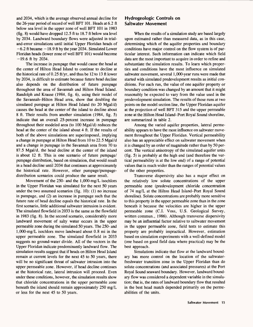and 2034, which is the average observed annual decline for the 26-year period of record of well BFT 101. Heads at 6.2 ft below sea level in the upper zone of well BFT 101 in 1983 (fig. 8) would have dropped 12.5 ft to 18.7 ft below sea level by 2034. Landward boundary flows were adjusted in trialand-error simulations until initial Upper Floridan heads of  $-6.2$  ft became  $-18.9$  ft by the year 2034. Simulated Lower Floridan heads (lower zone of well BFT 101) would become  $-19.6$  ft by 2034.

The increase in pumpage that would cause the head at the center of Hilton Head Island to continue to decline at the historical rate of 0.25 ft/yr, and thus be 12 to 13 ft lower by 2034, is difficult to estimate because future head decline also depends on the distribution of future pumpage throughout the area of Savannah and Hilton Head Island. Randolph and Krause (1984, fig. 6), using their model of the Savannah-Hilton Head area, show that doubling the simulated pumpage at Hilton Head Island (to 20 Mgal/d) causes the head at the center of the island to decline about 8 ft. Their results from another simulation (1984, fig. 5) indicate that an overall 25-percent increase in pumpage throughout their modeled area (to 100 Mgal/d) reduces the head at the center of the island about 4 ft. If the results of both of the above simulations are superimposed, implying a change in pumpage at Hilton Head from 10 to 22.5 Mgal/d and a change in pumpage in the Savannah area from 70 to 87.5 Mgal/d, the head decline at the center of the island is about 12 ft. This is one scenario of future pumpage/ pumpage distribution, based on simulation, that would result in a head decline until 2034 that continues at approximately the historical rate. However, other pumpage/pumpagedistribution scenarios could produce the same result.

Movement of the 250- and the 1,000-mg/L isochlors in the Upper Floridan was simulated for the next 50 years under the two assumed scenarios (fig. 10): (1) no increase in pumpage, and (2) an increase in pumpage such that the future rate of head decline equals the historical rate. In the first scenario, little additional saltwater intrusion is evident. The simulated flowfield in 2033 is the same as the flowfield in 1983 (fig. 8). In the second scenario, considerably more landward movement of salty water occurs in the upper permeable zone during the simulated 50 years. The 250- and 1,000-mg/L isochlors move landward about 0.8 mi in the upper permeable zone. The simulated flowfield in 2033 suggests no ground-water divide. All of the vectors in the Upper Floridan indicate predominantly landward flow. The simulation results suggest that if heads on Hilton Head Island remain at current levels for the next 45 to 50 years, there will be no significant threat of saltwater intrusion into the upper permeable zone. However, if head decline continues at the historical rate, lateral intrusion will proceed. Even under these conditions, however, the simulation results show that chloride concentrations in the upper permeable zone beneath the island should remain approximately 250 mg/L or less for the next 45 to 50 years.

#### **Hydrogeologic Controls on Saltwater Movement**

When the results of a simulation study are based largely upon estimated rather than measured data, as in this case, determining which of the aquifer properties and boundary conditions have major control on the flow system is of particular interest. Such information can indicate which field data are the most important to acquire in order to refine and substantiate the simulation results. To learn which properties and conditions have the most influence on simulated saltwater movement, several 1,000-year runs were made that started with simulated predevelopment results as initial conditions. For each run, the value of one aquifer property or boundary condition was changed by an amount that it might reasonably be expected to vary from the value used in the predevelopment simulation. The results of those runs at two points on the model section line, the Upper Floridan aquifer at the projection of well BFT 315 and the upper permeable zone at the Hilton Head Island-Port Royal Sound shoreline, are summarized in table 2.

Among the varied aquifer properties, lateral permeability appears to have the most influence on saltwater movement throughout the Upper Floridan. Vertical permeability also has an appreciable effect on saltwater movement when it is changed by an order of magnitude rather than by 50 percent. The vertical anisotropy of the simulated aquifer units (fig. 5) is probably at the high end (and therefore the vertical permeability is at the low end) of a range of potential values that is much wider than the ranges of potential values of the other properties.

Transverse dispersivity also has a major effect on the relatively low solute concentrations of the upper permeable zone (predevelopment chloride concentration of 74 mg/L at the Hilton Head Island-Port Royal Sound shoreline). Solute concentrations are probably more sensitive to this property in the upper permeable zone than in the zone beneath it because the velocities are higher in the upper permeable zone (C.I. Voss, U.S. Geological Survey, written commun., 1986). Although transverse dispersivity may be an influential factor relative to saltwater movement in the upper permeable zone, field tests to estimate this property are probably impractical. However, estimation based on simulation experiments with a well-defined model (one based on good field data where practical) may be the best approach.

Simulations indicate that flow at the landward boundary has more control on the location of the saltwaterfreshwater transition zone in the Upper Floridan than do solute concentrations (and associated pressures) at the Port Royal Sound seaward boundary. However, landward boundary flow was considered a dependent variable in the simulation; that is, the rates of landward boundary flow that resulted in the best head match depended primarily on the permeabilities of the units.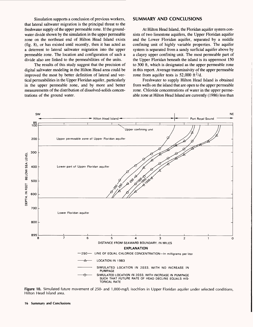Simulation supports a conclusion of previous workers, that lateral saltwater migration is the principal threat to the freshwater supply of the upper permeable zone. If the groundwater divide shown by the simulation in the upper permeable zone on the northeast end of Hilton Head Island exists (fig. 8), or has existed until recently, then it has acted as a deterrent to lateral saltwater migration into the upper permeable zone. The location and configuration of such a divide also are linked to the permeabilities of the units.

The results of this study suggest that the precision of digital saltwater modeling in the Hilton Head area could be improved the most by better definition of lateral and vertical permeabilities in the Upper Floridan aquifer, particularly in the upper permeable zone, and by more and better measurements of the distribution of dissolved-solids concentrations of the ground water.

#### **SUMMARY AND CONCLUSIONS**

At Hilton Head Island, the Floridan aquifer system consists of two limestone aquifers, the Upper Floridan aquifer and the Lower Floridan aquifer, separated by a middle confining unit of highly variable properties. The aquifer system is separated from a sandy surficial aquifer above by a clayey upper confining unit. The most permeable part of the Upper Floridan beneath the island is its uppermost 150 to 300 ft, which is designated as the upper permeable zone in this report. Average transmissivity of the upper permeable zone from aquifer tests is  $52,000$  ft<sup>2</sup>/d.

Freshwater to supply Hilton Head Island is obtained from wells on the island that are open to the upper permeable zone. Chloride concentrations of water in the upper permeable zone at Hilton Head Island are currently (1986) less than



**Figure 10.** Simulated future movement of 250- and 1,000-mg/L isochlors in Upper Floridan aquifer under selected conditions, Hilton Head Island area.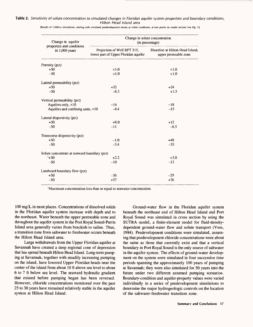#### **Table 2.** Sensitivity of solute concentration to simulated changes in Floridan aquifer system properties and boundary conditions, Hilton Head Island area

| Change in aquifer<br>properties and conditions<br>in 1,000 years | Change in solute concentration<br>(in percentage)                   |                                                          |  |  |
|------------------------------------------------------------------|---------------------------------------------------------------------|----------------------------------------------------------|--|--|
|                                                                  | Projection of Well BFT 315,<br>lower part of Upper Floridan aquifer | Shoreline at Hilton Head Island,<br>upper permeable zone |  |  |
| Porosity (pct)                                                   |                                                                     |                                                          |  |  |
| $+50$                                                            | <1.0                                                                | 1.0                                                      |  |  |
| $-50$                                                            | < 1.0                                                               | < 1.0                                                    |  |  |
| Lateral permeability (pct)                                       |                                                                     |                                                          |  |  |
| $+50$                                                            | $+32$                                                               | $+24$                                                    |  |  |
| $-50$                                                            | $-8.3$                                                              | $+1.5$                                                   |  |  |
| Vertical permeability (pct)                                      |                                                                     |                                                          |  |  |
| Aquifers only, $\times 10$                                       | $-16$                                                               | $-18$                                                    |  |  |
| Aquifers and confining units, $\times 10$                        | $-8.4$                                                              | $-15$                                                    |  |  |
| Lateral dispersivity (pct)                                       |                                                                     |                                                          |  |  |
| $+50$                                                            | $+8.0$                                                              | $+12$                                                    |  |  |
| $-50$                                                            | $-11$                                                               | $-6.5$                                                   |  |  |
| Transverse dispersivity (pct)                                    |                                                                     |                                                          |  |  |
| $+50$                                                            | $-1.0$                                                              | $+48$                                                    |  |  |
| $-50$                                                            | $-3.4$                                                              | $-55$                                                    |  |  |
| Solute concentrate at seaward boundary (pct)                     |                                                                     |                                                          |  |  |
| $1+50$                                                           | $+2.2$                                                              | $+3.0$                                                   |  |  |
| $-50$                                                            | $-10$                                                               | $-13$                                                    |  |  |
| Landward boundary flow (pct)                                     |                                                                     |                                                          |  |  |
| $+50$                                                            | $-36$                                                               | $-29$                                                    |  |  |
| $-50$                                                            | $+57$                                                               | $+36$                                                    |  |  |

[Results of 1,000-yr simulations, starting with simulated predevelopment results as initial conditions, at two points on model section line (fig. 1)]

'Maximum concentration less than or equal to seawater concentration.

100 mg/L in most places. Concentrations of dissolved solids in the Floridan aquifer system increase with depth and to the northeast. Water beneath the upper permeable zone and throughout the aquifer system in the Port Royal Sound-Parris Island area generally varies from brackish to saline. Thus, a transition zone from saltwater to freshwater occurs beneath the Hilton Head Island area.

Large withdrawals from the Upper Floridan aquifer at Savannah have created a deep regional cone of depression that has spread beneath Hilton Head Island. Long-term pumping at Savannah, together with steadily increasing pumping on the island, have lowered Upper Floridan heads near the center of the island from about 10 ft above sea level to about 6 to 7 ft below sea level. The seaward hydraulic gradient that existed before pumping began has been reversed. However, chloride concentrations monitored over the past 25 to 30 years have remained relatively stable in the aquifer system at Hilton Head Island.

Ground-water flow in the Floridan aquifer system beneath the northeast end of Hilton Head Island and Port Royal Sound was simulated in cross section by using the SUTRA model, a finite-element model for fluid-densitydependent ground-water flow and solute transport (Voss, 1984). Predevelopment conditions were simulated, assuming that predevelopment chloride concentrations were about the same as those that currently exist and that a vertical boundary in Port Royal Sound is the only source of saltwater in the aquifer system. The effects of ground-water development on the system were simulated in four successive time periods spanning the approximately 100 years of pumping at Savannah; they were also simulated for 50 years into the future under two different assumed pumping scenarios. Boundary-condition and aquifer-property values were varied individually in a series of predevelopment simulations to determine the major hydrogeologic controls on the location of the saltwater-freshwater transition zone.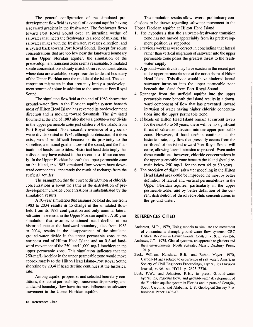The general configuration of the simulated predevelopment flowfield is typical of a coastal aquifer having a seaward gradient in the freshwater. The freshwater flows toward Port Royal Sound over an intruding wedge of saltwater that meets the freshwater in a zone of mixing. The saltwater mixes with the freshwater, reverses direction, and is cycled back toward Port Royal Sound. Except for solute concentrations that are too low near the landward boundary in the Upper Floridan aquifer, the simulation of the predevelopment transition zone seems reasonable. Simulated solute concentrations closely match observed concentrations where data are available, except near the landward boundary of the Upper Floridan near the middle of the island. The concentration mismatch in that area may imply a predevelopment source of solute in addition to the source at Port Royal Sound.

The simulated flowfield at the end of 1983 shows that ground-water flow in the Floridan aquifer system beneath most of Hilton Head Island has reversed its predevelopment direction and is moving toward Savannah. The simulated flowfield at the end of 1983 also shows a ground-water divide in the upper permeable zone just onshore of the island from Port Royal Sound. No measurable evidence of a groundwater divide existed in 1984, although its detection, if it does exist, would be difficult because of its proximity to the shoreline, a minimal gradient toward the sound, and the fluctuation of heads due to tides. Historical head data imply that a divide may have existed in the recent past, if not currently. In the Upper Floridan beneath the upper permeable zone on the island, the 1983 simulated flow vectors have downward components, apparently the result of recharge from the surficial aquifer.

The assumption that the current distribution of chloride concentrations is about the same as the distribution of predevelopment chloride concentrations is substantiated by the simulation results.

A 50-year simulation that assumes no head decline from 1983 to 2034 results in no change in the simulated flowfield from its 1983 configuration and only nominal lateral saltwater movement in the Upper Floridan aquifer. A 50-year simulation that assumes continued head decline at the historical rate at the landward boundary, also from 1983 to 2034, results in the disappearance of the simulated ground-water divide in the upper permeable zone at the northeast end of Hilton Head Island and an 0.8-mi landward movement of the 250- and 1,000-mg/L isochlors in the upper permeable zone. This simulation indicates that the 250-mg/L isochlor in the upper permeable zone would move approximately to the Hilton Head Island-Port Royal Sound shoreline by 2034 if head decline continues at the historical rate.

Among aquifer properties and selected boundary conditions, the lateral permeability, transverse dispersivity, and landward boundary flow have the most influence on saltwater movement in the Upper Floridan aquifer.

The simulation results allow several preliminary conclusions to be drawn regarding saltwater movement in the Upper Floridan aquifer at Hilton Head Island.

- 1. The hypothesis that the saltwater-freshwater transition zone has not moved appreciably from its predevelopment position is supported.
- 2. Previous workers were correct in concluding that lateral rather than vertical migration of saltwater into the upper permeable zone poses the greatest threat to the freshwater supply.
- 3. A ground-water divide may have existed in the recent past in the upper permeable zone at the north shore of Hilton Head Island. This divide would have hindered lateral saltwater intrusion into the upper permeable zone beneath the island from Port Royal Sound.
- 4. Recharge from the surficial aquifer into the upper permeable zone beneath the island results in a downward component of flow that has prevented upward intrusion of water having higher chloride concentrations into the upper permeable zone.
- 5. If heads on Hilton Head Island remain at current levels for the next 45 to 50 years, there will be no significant threat of saltwater intrusion into the upper permeable zone. However, if head decline continues at the historical rate, any flow that presently occurs from the north end of the island toward Port Royal Sound will cease, allowing lateral intrusion to proceed. Even under these conditions, however, chloride concentrations in the upper permeable zone beneath the island should remain below 250 mg/L for the next 45 to 50 years.
- 6. The precision of digital saltwater modeling in the Hilton Head Island area could be improved the most by better definition of lateral and vertical permeabilities in the Upper Floridan aquifer, particularly in the upper permeable zone, and by better definition of the current distribution of dissolved-solids concentrations in the ground water.

#### **REFERENCES CITED**

- Anderson, M.P., 1979, Using models to simulate the movement of contaminants through ground-water flow systems: CRC Critical Reviews in Environmental Control, v. 9, p. 97-156.
- Andrews, J.T., 1975, Glacial systems, an approach to glaciers and their environments: North Scituate, Mass., Duxbury Press, 191 p.
- Back, William, Hanshaw, B.B., and Rubin, Meyer, 1970, Carbon-14 ages related to occurrence of salt water: American Society of Civil Engineers Proceedings, Hydraulics Division Journal, v. 96, no. HY11, p. 2325-2336.
- Bush, P.W., and Johnston, R.H., in press, Ground-water hydraulics, regional flow, and ground-water development of the Floridan aquifer system in Florida and in parts of Georgia, South Carolina, and Alabama: U.S. Geological Survey Professional Paper 1403-C.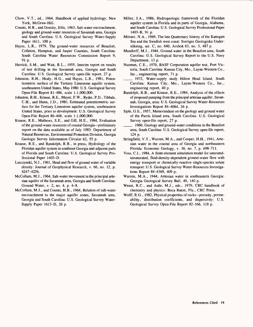- Chow, V.T., ed., 1964, Handbook of applied hydrology: New York, McGraw-Hill.
- Counts, H.B., and Donsky, Ellis, 1963, Salt-water encroachment, geology and ground-water resources of Savannah area, Georgia and South Carolina: U.S. Geological Survey Water-Supply Paper 1611, 100 p.
- Hayes, L.R., 1979, The ground-water resources of Beaufort, Colleton, Hampton, and Jasper Counties, South Carolina: South Carolina Water Resources Commission Report 9, 91 p.
- Herrick, S.M., and Wait, R.L., 1955, Interim report on results of test drilling in the Savannah area, Georgia and South Carolina: U.S. Geological Survey open-file report, 27 p.
- Johnston, R.H., Healy, H.G., and Hayes, L.R., 1981, Potentiometric surface of the Tertiary Limestone aquifer system, southeastern United States, May 1980: U.S. Geological Survey Open-File Report 81-486, scale 1:1,000,000.
- Johnston, R.H., Krause, R.E., Meyer, F.W., Ryder, P.D., Tibbals, C.H., and Hunn, J.D., 1980, Estimated potentiometric surface for the Tertiary Limestone aquifer system, southeastern United States, prior to development: U.S. Geological Survey Open-File Report 80-406, scale 1:1,000,000.
- Krause, R.E., Mathews, S.E., and Gill, H.E., 1984, Evaluation of the ground-water resources of coastal Georgia-preliminary report on the data available as of July 1983: Department of Natural Resources, Environmental Protection Division, Georgia Geologic Survey Information Circular 62, 55 p.
- Krause, R.E., and Randolph, R.B., in press, Hydrology of the Floridan aquifer system in southeast Georgia and adjacent parts of Florida and South Carolina: U.S. Geological Survey Professional Paper 1403-D.
- Lusczynski, N.J., 1961, Head and flow of ground water of variable density: Journal of Geophysical Research, v. 66, no. 12, p. 4247-4256.
- McCollum, M.J., 1964, Salt-water movement in the principal artesian aquifer of the Savannah area, Georgia and South Carolina: Ground Water, v. 2, no. 4, p. 4-8.
- McCollum, M.J., and Counts, H.B., 1964, Relation of salt-water encroachment to the major aquifer zones, Savannah area, Georgia and South Carolina: U.S. Geological Survey Water-Supply Paper 1613-D, 26 p.
- Miller, J.A., 1986, Hydrogeologic framework of the Floridan aquifer system in Florida and in parts of Georgia, Alabama, and South Carolina: U.S. Geological Survey Professional Paper 1403-B, 91 p.
- Mörner, N.A., 1969, The late Quaternary history of the Kattegatt Sea and the Swedish west coast: Sveriges Geologiska Undersokning, ser. C, no. 640, Arsbok 63, no. 3, 487 p.
- Mundorff, M.J., 1944, Ground water in the Beaufort area, South Carolina: U.S. Geological Survey Report to the U.S. Navy Department, 13 p.
- Nuzman, C.E., 1970, BASF Corporation aquifer test, Port Victoria, South Carolina: Kansas City, Mo., Layne-Western Co., Inc., engineering report, 71 p.
- \_\_\_ 1972, Water-supply study Hilton Head Island, South Carolina: Kansas City, Mo., Layne-Western Co., Inc., engineering report, 40 p.
- Randolph, R.B., and Krause, R.E., 1984, Analysis of the effects of proposed pumping from the principal artesian aquifer, Savannah, Georgia, area: U.S. Geological Survey Water-Resources Investigations Report 84-4064, 26 p.
- Siple, G.E., 1957, Memorandum on the geology and ground water of the Parris Island area, South Carolina: U.S. Geological Survey open-file report, 27 p.
- 1960, Geology and ground-water conditions in the Beaufort area, South Carolina: U.S. Geological Survey open-file report, 124 p.
- Stringfield, V.T., Warren, M.A., and Cooper, H.H., 1941, Artesian water in the coastal area of Georgia and northeastern Florida: Economic Geology, v. 36, no. 7, p. 698-711.
- Voss, C.I., 1984, A finite-element simulation model for saturatedunsaturated, fluid-density-dependent ground-water flow with energy transport or chemically-reactive single-species solute transport: U.S. Geological Survey Water-Resources Investigations Report 84-4369, 409 p.
- Warren, M.A., 1944, Artesian water in southeastern Georgia: Georgia Geological Survey Bull. 49, 140 p.
- Weast, R.C., and Astle, M.J., eds., 1979, CRC handbook of chemistry and physics: Boca Raton, Fla., CRC Press.
- Wolff, R.G., 1982, Physical properties of rocks--porosity, permeability, distribution coefficients, and dispersivity: U.S. Geological Survey Open-File Report 82-166, 118 p.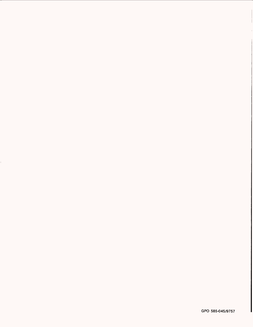GPO 585-045/9757

 $\mathbb{F}_q$